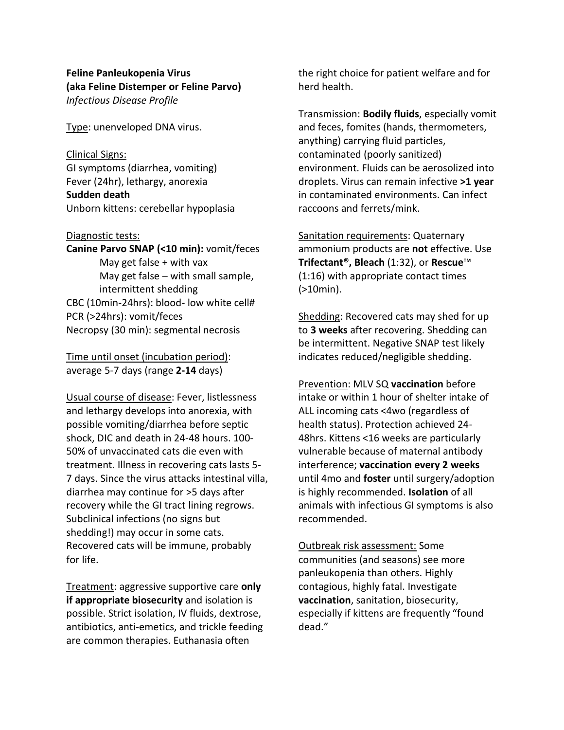# **Feline Panleukopenia Virus (aka Feline Distemper or Feline Parvo)** *Infectious Disease Profile*

Type: unenveloped DNA virus.

Clinical Signs: GI symptoms (diarrhea, vomiting) Fever (24hr), lethargy, anorexia **Sudden death** Unborn kittens: cerebellar hypoplasia

#### Diagnostic tests:

**Canine Parvo SNAP (<10 min):** vomit/feces May get false + with vax May get false – with small sample, intermittent shedding CBC (10min-24hrs): blood- low white cell# PCR (>24hrs): vomit/feces Necropsy (30 min): segmental necrosis

Time until onset (incubation period): average 5-7 days (range **2-14** days)

Usual course of disease: Fever, listlessness and lethargy develops into anorexia, with possible vomiting/diarrhea before septic shock, DIC and death in 24-48 hours. 100- 50% of unvaccinated cats die even with treatment. Illness in recovering cats lasts 5- 7 days. Since the virus attacks intestinal villa, diarrhea may continue for >5 days after recovery while the GI tract lining regrows. Subclinical infections (no signs but shedding!) may occur in some cats. Recovered cats will be immune, probably for life.

Treatment: aggressive supportive care **only if appropriate biosecurity** and isolation is possible. Strict isolation, IV fluids, dextrose, antibiotics, anti-emetics, and trickle feeding are common therapies. Euthanasia often

the right choice for patient welfare and for herd health.

Transmission: **Bodily fluids**, especially vomit and feces, fomites (hands, thermometers, anything) carrying fluid particles, contaminated (poorly sanitized) environment. Fluids can be aerosolized into droplets. Virus can remain infective **>1 year** in contaminated environments. Can infect raccoons and ferrets/mink.

Sanitation requirements: Quaternary ammonium products are **not** effective. Use **Trifectant®, Bleach** (1:32), or **Rescue**™ (1:16) with appropriate contact times (>10min).

Shedding: Recovered cats may shed for up to **3 weeks** after recovering. Shedding can be intermittent. Negative SNAP test likely indicates reduced/negligible shedding.

Prevention: MLV SQ **vaccination** before intake or within 1 hour of shelter intake of ALL incoming cats <4wo (regardless of health status). Protection achieved 24- 48hrs. Kittens <16 weeks are particularly vulnerable because of maternal antibody interference; **vaccination every 2 weeks** until 4mo and **foster** until surgery/adoption is highly recommended. **Isolation** of all animals with infectious GI symptoms is also recommended.

Outbreak risk assessment: Some communities (and seasons) see more panleukopenia than others. Highly contagious, highly fatal. Investigate **vaccination**, sanitation, biosecurity, especially if kittens are frequently "found dead."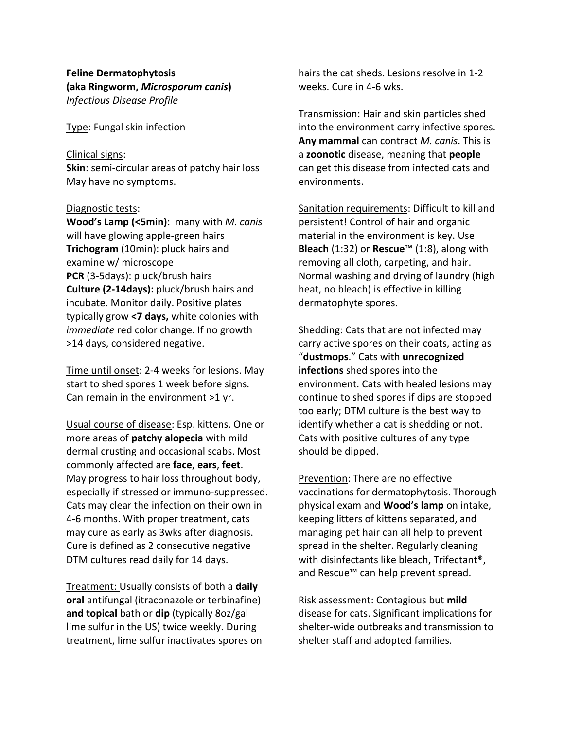# **Feline Dermatophytosis (aka Ringworm,** *Microsporum canis***)** *Infectious Disease Profile*

Type: Fungal skin infection

#### Clinical signs:

**Skin**: semi-circular areas of patchy hair loss May have no symptoms.

#### Diagnostic tests:

**Wood's Lamp (<5min)**: many with *M. canis* will have glowing apple-green hairs **Trichogram** (10min): pluck hairs and examine w/ microscope **PCR** (3-5days): pluck/brush hairs **Culture (2-14days):** pluck/brush hairs and incubate. Monitor daily. Positive plates typically grow **<7 days,** white colonies with *immediate* red color change. If no growth >14 days, considered negative.

Time until onset: 2-4 weeks for lesions. May start to shed spores 1 week before signs. Can remain in the environment >1 yr.

Usual course of disease: Esp. kittens. One or more areas of **patchy alopecia** with mild dermal crusting and occasional scabs. Most commonly affected are **face**, **ears**, **feet**. May progress to hair loss throughout body, especially if stressed or immuno-suppressed. Cats may clear the infection on their own in 4-6 months. With proper treatment, cats may cure as early as 3wks after diagnosis. Cure is defined as 2 consecutive negative DTM cultures read daily for 14 days.

Treatment: Usually consists of both a **daily oral** antifungal (itraconazole or terbinafine) **and topical** bath or **dip** (typically 8oz/gal lime sulfur in the US) twice weekly. During treatment, lime sulfur inactivates spores on hairs the cat sheds. Lesions resolve in 1-2 weeks. Cure in 4-6 wks.

Transmission: Hair and skin particles shed into the environment carry infective spores. **Any mammal** can contract *M. canis*. This is a **zoonotic** disease, meaning that **people** can get this disease from infected cats and environments.

Sanitation requirements: Difficult to kill and persistent! Control of hair and organic material in the environment is key. Use **Bleach** (1:32) or **Rescue**™ (1:8), along with removing all cloth, carpeting, and hair. Normal washing and drying of laundry (high heat, no bleach) is effective in killing dermatophyte spores.

Shedding: Cats that are not infected may carry active spores on their coats, acting as "**dustmops**." Cats with **unrecognized infections** shed spores into the environment. Cats with healed lesions may continue to shed spores if dips are stopped too early; DTM culture is the best way to identify whether a cat is shedding or not. Cats with positive cultures of any type should be dipped.

Prevention: There are no effective vaccinations for dermatophytosis. Thorough physical exam and **Wood's lamp** on intake, keeping litters of kittens separated, and managing pet hair can all help to prevent spread in the shelter. Regularly cleaning with disinfectants like bleach, Trifectant®, and Rescue™ can help prevent spread.

Risk assessment: Contagious but **mild** disease for cats. Significant implications for shelter-wide outbreaks and transmission to shelter staff and adopted families.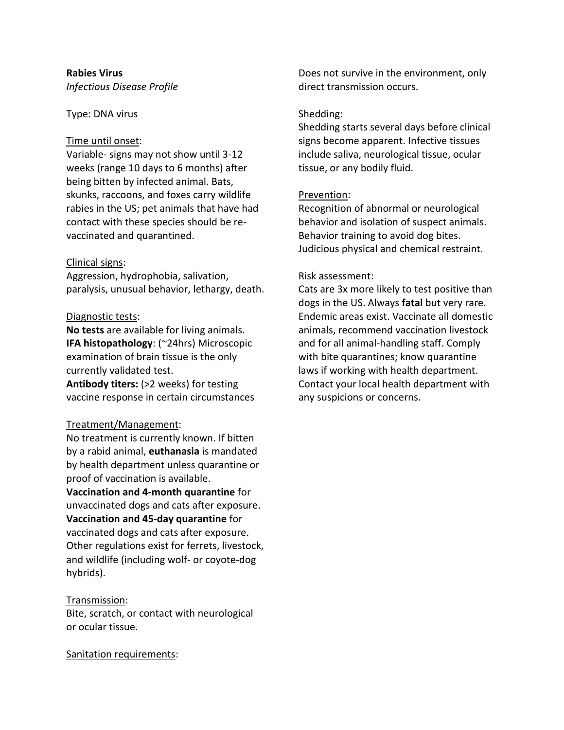## **Rabies Virus** *Infectious Disease Profile*

# Type: DNA virus

#### Time until onset:

Variable- signs may not show until 3-12 weeks (range 10 days to 6 months) after being bitten by infected animal. Bats, skunks, raccoons, and foxes carry wildlife rabies in the US; pet animals that have had contact with these species should be revaccinated and quarantined.

## Clinical signs:

Aggression, hydrophobia, salivation, paralysis, unusual behavior, lethargy, death.

#### Diagnostic tests:

**No tests** are available for living animals. **IFA histopathology**: (~24hrs) Microscopic examination of brain tissue is the only currently validated test.

**Antibody titers:** (>2 weeks) for testing vaccine response in certain circumstances

## Treatment/Management:

No treatment is currently known. If bitten by a rabid animal, **euthanasia** is mandated by health department unless quarantine or proof of vaccination is available.

**Vaccination and 4-month quarantine** for unvaccinated dogs and cats after exposure. **Vaccination and 45-day quarantine** for vaccinated dogs and cats after exposure. Other regulations exist for ferrets, livestock, and wildlife (including wolf- or coyote-dog hybrids).

## Transmission:

Bite, scratch, or contact with neurological or ocular tissue.

Sanitation requirements:

Does not survive in the environment, only direct transmission occurs.

#### Shedding:

Shedding starts several days before clinical signs become apparent. Infective tissues include saliva, neurological tissue, ocular tissue, or any bodily fluid.

## Prevention:

Recognition of abnormal or neurological behavior and isolation of suspect animals. Behavior training to avoid dog bites. Judicious physical and chemical restraint.

## Risk assessment:

Cats are 3x more likely to test positive than dogs in the US. Always **fatal** but very rare. Endemic areas exist. Vaccinate all domestic animals, recommend vaccination livestock and for all animal-handling staff. Comply with bite quarantines; know quarantine laws if working with health department. Contact your local health department with any suspicions or concerns.